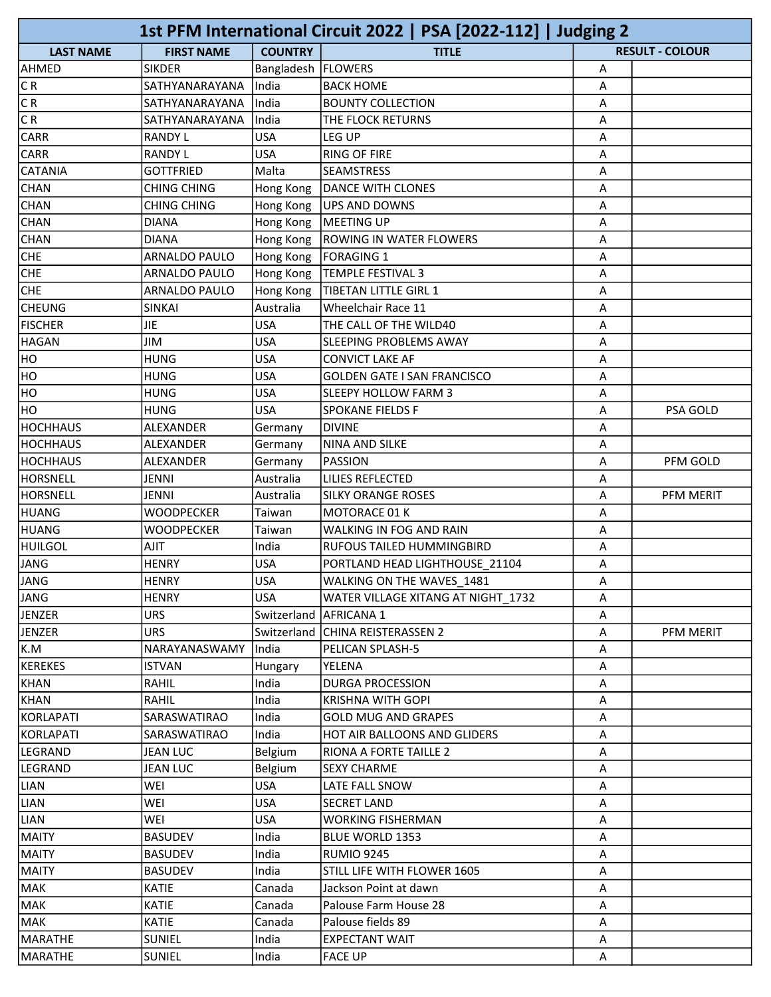| 1st PFM International Circuit 2022   PSA [2022-112]   Judging 2 |                                |                      |                                         |        |                        |  |
|-----------------------------------------------------------------|--------------------------------|----------------------|-----------------------------------------|--------|------------------------|--|
| <b>LAST NAME</b>                                                | <b>FIRST NAME</b>              | <b>COUNTRY</b>       | <b>TITLE</b>                            |        | <b>RESULT - COLOUR</b> |  |
| AHMED                                                           | <b>SIKDER</b>                  | Bangladesh   FLOWERS |                                         | Α      |                        |  |
| CR.                                                             | SATHYANARAYANA                 | India                | <b>BACK HOME</b>                        | Α      |                        |  |
| C R                                                             | SATHYANARAYANA                 | India                | <b>BOUNTY COLLECTION</b>                | Α      |                        |  |
| C R                                                             | SATHYANARAYANA                 | India                | THE FLOCK RETURNS                       | A      |                        |  |
| <b>CARR</b>                                                     | <b>RANDY L</b>                 | <b>USA</b>           | LEG UP                                  | Α      |                        |  |
| <b>CARR</b>                                                     | <b>RANDY L</b>                 | <b>USA</b>           | <b>RING OF FIRE</b>                     | Α      |                        |  |
| <b>CATANIA</b>                                                  | <b>GOTTFRIED</b>               | Malta                | <b>SEAMSTRESS</b>                       | Α      |                        |  |
| CHAN                                                            | <b>CHING CHING</b>             | Hong Kong            | <b>DANCE WITH CLONES</b>                | Α      |                        |  |
| <b>CHAN</b>                                                     | <b>CHING CHING</b>             | Hong Kong            | UPS AND DOWNS                           | A      |                        |  |
| <b>CHAN</b>                                                     | <b>DIANA</b>                   | Hong Kong            | MEETING UP                              | Α      |                        |  |
| <b>CHAN</b>                                                     | <b>DIANA</b>                   | Hong Kong            | <b>ROWING IN WATER FLOWERS</b>          | Α      |                        |  |
| <b>CHE</b>                                                      | <b>ARNALDO PAULO</b>           | Hong Kong            | <b>FORAGING 1</b>                       | A      |                        |  |
| <b>CHE</b>                                                      | ARNALDO PAULO                  | Hong Kong            | <b>TEMPLE FESTIVAL 3</b>                | A      |                        |  |
| <b>CHE</b>                                                      | <b>ARNALDO PAULO</b>           | Hong Kong            | <b>TIBETAN LITTLE GIRL 1</b>            | А      |                        |  |
| <b>CHEUNG</b>                                                   | <b>SINKAI</b>                  | Australia            | Wheelchair Race 11                      | Α      |                        |  |
| <b>FISCHER</b>                                                  | <b>JIE</b>                     | <b>USA</b>           | THE CALL OF THE WILD40                  | A      |                        |  |
| HAGAN                                                           | <b>JIM</b>                     | <b>USA</b>           | SLEEPING PROBLEMS AWAY                  | А      |                        |  |
| HO                                                              | <b>HUNG</b>                    | <b>USA</b>           | CONVICT LAKE AF                         | Α      |                        |  |
| HO                                                              | <b>HUNG</b>                    | <b>USA</b>           | <b>GOLDEN GATE I SAN FRANCISCO</b>      | Α      |                        |  |
| HO                                                              | <b>HUNG</b>                    | <b>USA</b>           | SLEEPY HOLLOW FARM 3                    | Α      |                        |  |
| HO                                                              | <b>HUNG</b>                    | <b>USA</b>           | <b>SPOKANE FIELDS F</b>                 | А      | PSA GOLD               |  |
| <b>HOCHHAUS</b>                                                 | ALEXANDER                      | Germany              | <b>DIVINE</b>                           | Α      |                        |  |
| HOCHHAUS                                                        | ALEXANDER                      | Germany              | <b>NINA AND SILKE</b>                   | Α      |                        |  |
| HOCHHAUS                                                        | ALEXANDER                      | Germany              | <b>PASSION</b>                          | Α      | PFM GOLD               |  |
| <b>HORSNELL</b>                                                 | <b>JENNI</b>                   | Australia            | <b>LILIES REFLECTED</b>                 | Α      |                        |  |
| <b>HORSNELL</b>                                                 | <b>JENNI</b>                   | Australia            | <b>SILKY ORANGE ROSES</b>               | Α      | PFM MERIT              |  |
| HUANG                                                           | <b>WOODPECKER</b>              | Taiwan               | MOTORACE 01 K                           | Α      |                        |  |
| HUANG                                                           | <b>WOODPECKER</b>              | Taiwan               | WALKING IN FOG AND RAIN                 | Α      |                        |  |
| <b>HUILGOL</b>                                                  | <b>AJIT</b>                    | India                | <b>RUFOUS TAILED HUMMINGBIRD</b>        | Α      |                        |  |
| JANG                                                            | <b>HENRY</b>                   | <b>USA</b>           | PORTLAND HEAD LIGHTHOUSE 21104          | Α      |                        |  |
| <b>JANG</b>                                                     | <b>HENRY</b>                   | <b>USA</b>           | WALKING ON THE WAVES_1481               | A      |                        |  |
| <b>JANG</b>                                                     | <b>HENRY</b>                   | <b>USA</b>           | WATER VILLAGE XITANG AT NIGHT 1732      | A      |                        |  |
| JENZER                                                          | <b>URS</b>                     | Switzerland          | AFRICANA 1                              | Α      |                        |  |
| JENZER                                                          | <b>URS</b>                     |                      | Switzerland CHINA REISTERASSEN 2        | Α      | PFM MERIT              |  |
| K.M                                                             | NARAYANASWAMY                  | India                | PELICAN SPLASH-5                        | Α      |                        |  |
| KEREKES                                                         | <b>ISTVAN</b>                  | <b>Hungary</b>       | YELENA                                  | Α      |                        |  |
| KHAN                                                            | RAHIL                          | India                | <b>DURGA PROCESSION</b>                 | Α      |                        |  |
| KHAN                                                            | RAHIL                          | India                | <b>KRISHNA WITH GOPI</b>                | A      |                        |  |
| KORLAPATI                                                       | SARASWATIRAO                   | India                | <b>GOLD MUG AND GRAPES</b>              | Α      |                        |  |
| <b>KORLAPATI</b>                                                | SARASWATIRAO                   | India                | HOT AIR BALLOONS AND GLIDERS            | Α      |                        |  |
| LEGRAND                                                         | <b>JEAN LUC</b>                | Belgium              | RIONA A FORTE TAILLE 2                  | Α      |                        |  |
| LEGRAND                                                         | <b>JEAN LUC</b>                | Belgium              | <b>SEXY CHARME</b>                      | Α      |                        |  |
| LIAN                                                            | WEI                            | <b>USA</b>           | LATE FALL SNOW                          | Α      |                        |  |
| LIAN                                                            | WEI                            | <b>USA</b>           | <b>SECRET LAND</b>                      | Α      |                        |  |
| LIAN                                                            | WEI                            | <b>USA</b>           | <b>WORKING FISHERMAN</b>                | Α      |                        |  |
| MAITY                                                           | <b>BASUDEV</b>                 | India                | BLUE WORLD 1353                         | Α      |                        |  |
| MAITY                                                           | <b>BASUDEV</b>                 | India                | <b>RUMIO 9245</b>                       | Α      |                        |  |
| MAITY                                                           | <b>BASUDEV</b>                 | India                | STILL LIFE WITH FLOWER 1605             | Α      |                        |  |
| MAK                                                             | <b>KATIE</b>                   | Canada               | Jackson Point at dawn                   | Α      |                        |  |
| MAK                                                             | <b>KATIE</b>                   | Canada               | Palouse Farm House 28                   |        |                        |  |
|                                                                 |                                |                      | Palouse fields 89                       | Α      |                        |  |
| MAK                                                             | <b>KATIE</b>                   | Canada               |                                         | Α      |                        |  |
| MARATHE<br>MARATHE                                              | <b>SUNIEL</b><br><b>SUNIEL</b> | India<br>India       | <b>EXPECTANT WAIT</b><br><b>FACE UP</b> | Α<br>Α |                        |  |
|                                                                 |                                |                      |                                         |        |                        |  |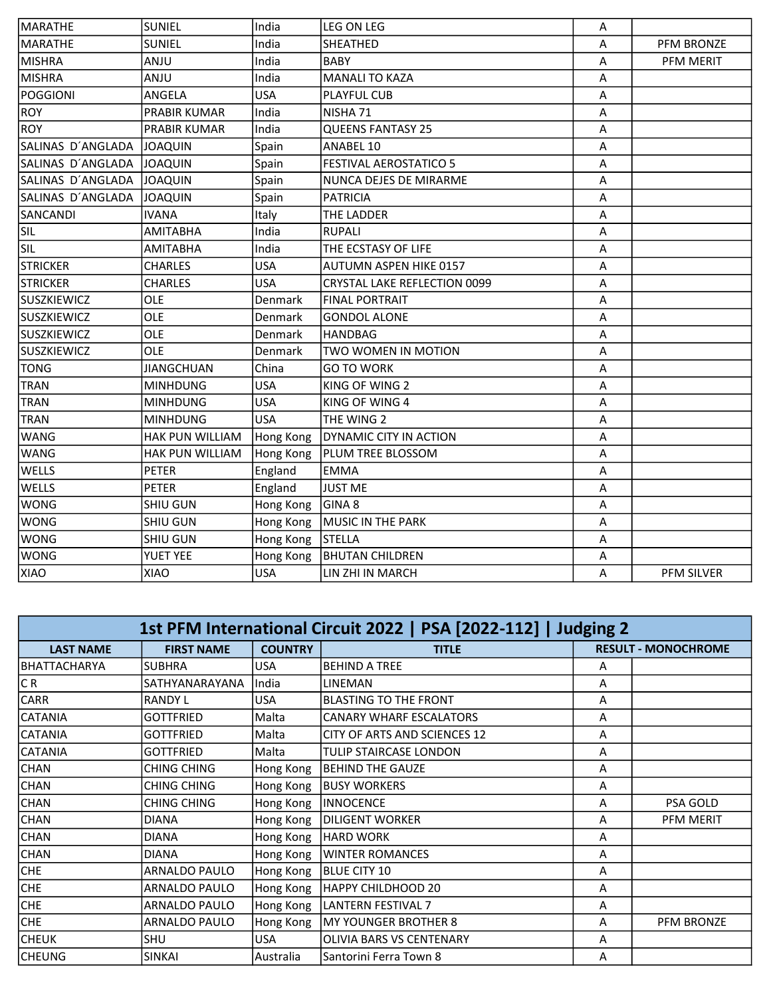| MARATHE           | <b>SUNIEL</b>          | India      | LEG ON LEG                          | Α |                  |
|-------------------|------------------------|------------|-------------------------------------|---|------------------|
| MARATHE           | <b>SUNIEL</b>          | India      | SHEATHED                            | Α | PFM BRONZE       |
| MISHRA            | <b>ANJU</b>            | India      | <b>BABY</b>                         | A | <b>PFM MERIT</b> |
| MISHRA            | <b>ANJU</b>            | India      | <b>MANALI TO KAZA</b>               | A |                  |
| POGGIONI          | ANGELA                 | <b>USA</b> | <b>PLAYFUL CUB</b>                  | Α |                  |
| ROY               | <b>PRABIR KUMAR</b>    | India      | NISHA 71                            | A |                  |
| <b>ROY</b>        | PRABIR KUMAR           | India      | <b>QUEENS FANTASY 25</b>            | A |                  |
| SALINAS D'ANGLADA | JOAQUIN                | Spain      | ANABEL 10                           | Α |                  |
| SALINAS D'ANGLADA | <b>JOAQUIN</b>         | Spain      | <b>FESTIVAL AEROSTATICO 5</b>       | Α |                  |
| SALINAS D'ANGLADA | <b>JOAQUIN</b>         | Spain      | NUNCA DEJES DE MIRARME              | A |                  |
| SALINAS D'ANGLADA | <b>JOAQUIN</b>         | Spain      | <b>PATRICIA</b>                     | A |                  |
| SANCANDI          | <b>IVANA</b>           | Italy      | THE LADDER                          | A |                  |
| <b>SIL</b>        | <b>AMITABHA</b>        | India      | <b>RUPALI</b>                       | Α |                  |
| SIL               | <b>AMITABHA</b>        | India      | THE ECSTASY OF LIFE                 | Α |                  |
| <b>STRICKER</b>   | <b>CHARLES</b>         | <b>USA</b> | <b>AUTUMN ASPEN HIKE 0157</b>       | A |                  |
| <b>STRICKER</b>   | <b>CHARLES</b>         | <b>USA</b> | <b>CRYSTAL LAKE REFLECTION 0099</b> | A |                  |
| SUSZKIEWICZ       | <b>OLE</b>             | Denmark    | <b>FINAL PORTRAIT</b>               | Α |                  |
| SUSZKIEWICZ       | OLE                    | Denmark    | <b>GONDOL ALONE</b>                 | A |                  |
| SUSZKIEWICZ       | OLE                    | Denmark    | <b>HANDBAG</b>                      | A |                  |
| SUSZKIEWICZ       | OLE                    | Denmark    | TWO WOMEN IN MOTION                 | A |                  |
| <b>TONG</b>       | <b>JIANGCHUAN</b>      | China      | <b>GO TO WORK</b>                   | Α |                  |
| <b>TRAN</b>       | <b>MINHDUNG</b>        | <b>USA</b> | KING OF WING 2                      | Α |                  |
| <b>TRAN</b>       | <b>MINHDUNG</b>        | <b>USA</b> | KING OF WING 4                      | A |                  |
| <b>TRAN</b>       | <b>MINHDUNG</b>        | <b>USA</b> | THE WING 2                          | A |                  |
| <b>WANG</b>       | HAK PUN WILLIAM        | Hong Kong  | DYNAMIC CITY IN ACTION              | Α |                  |
| <b>WANG</b>       | <b>HAK PUN WILLIAM</b> | Hong Kong  | PLUM TREE BLOSSOM                   | A |                  |
| <b>WELLS</b>      | <b>PETER</b>           | England    | <b>EMMA</b>                         | A |                  |
| <b>WELLS</b>      | <b>PETER</b>           | England    | JUST ME                             | Α |                  |
| WONG              | <b>SHIU GUN</b>        | Hong Kong  | GINA <sub>8</sub>                   | Α |                  |
| <b>WONG</b>       | SHIU GUN               | Hong Kong  | MUSIC IN THE PARK                   | A |                  |
| <b>WONG</b>       | SHIU GUN               | Hong Kong  | STELLA                              | A |                  |
| <b>WONG</b>       | <b>YUET YEE</b>        | Hong Kong  | <b>BHUTAN CHILDREN</b>              | A |                  |
| <b>XIAO</b>       | XIAO                   | <b>USA</b> | LIN ZHI IN MARCH                    | A | PFM SILVER       |

| 1st PFM International Circuit 2022   PSA [2022-112]   Judging 2 |                      |                |                                |                            |            |  |
|-----------------------------------------------------------------|----------------------|----------------|--------------------------------|----------------------------|------------|--|
| <b>LAST NAME</b>                                                | <b>FIRST NAME</b>    | <b>COUNTRY</b> | <b>TITLE</b>                   | <b>RESULT - MONOCHROME</b> |            |  |
| BHATTACHARYA                                                    | <b>SUBHRA</b>        | <b>USA</b>     | <b>BEHIND A TREE</b>           | A                          |            |  |
| CR                                                              | SATHYANARAYANA       | India          | <b>LINEMAN</b>                 | A                          |            |  |
| <b>CARR</b>                                                     | <b>RANDY L</b>       | <b>USA</b>     | <b>BLASTING TO THE FRONT</b>   | A                          |            |  |
| <b>CATANIA</b>                                                  | <b>GOTTFRIED</b>     | Malta          | <b>CANARY WHARF ESCALATORS</b> | Α                          |            |  |
| <b>CATANIA</b>                                                  | <b>GOTTFRIED</b>     | Malta          | CITY OF ARTS AND SCIENCES 12   | A                          |            |  |
| <b>CATANIA</b>                                                  | <b>GOTTFRIED</b>     | Malta          | TULIP STAIRCASE LONDON         | A                          |            |  |
| <b>CHAN</b>                                                     | CHING CHING          | Hong Kong      | <b>BEHIND THE GAUZE</b>        | Α                          |            |  |
| <b>CHAN</b>                                                     | <b>CHING CHING</b>   | Hong Kong      | <b>BUSY WORKERS</b>            | A                          |            |  |
| <b>CHAN</b>                                                     | <b>CHING CHING</b>   | Hong Kong      | <b>INNOCENCE</b>               | A                          | PSA GOLD   |  |
| <b>CHAN</b>                                                     | <b>DIANA</b>         | Hong Kong      | DILIGENT WORKER                | A                          | PFM MERIT  |  |
| <b>CHAN</b>                                                     | <b>DIANA</b>         | Hong Kong      | <b>HARD WORK</b>               | A                          |            |  |
| <b>CHAN</b>                                                     | <b>DIANA</b>         | Hong Kong      | <b>WINTER ROMANCES</b>         | Α                          |            |  |
| CHE                                                             | ARNALDO PAULO        | Hong Kong      | BLUE CITY 10                   | A                          |            |  |
| CHE                                                             | ARNALDO PAULO        | Hong Kong      | <b>HAPPY CHILDHOOD 20</b>      | A                          |            |  |
| CHE                                                             | ARNALDO PAULO        | Hong Kong      | <b>LANTERN FESTIVAL 7</b>      | A                          |            |  |
| CHE                                                             | <b>ARNALDO PAULO</b> | Hong Kong      | MY YOUNGER BROTHER 8           | A                          | PFM BRONZE |  |
| <b>CHEUK</b>                                                    | <b>SHU</b>           | <b>USA</b>     | OLIVIA BARS VS CENTENARY       | Α                          |            |  |
| <b>CHEUNG</b>                                                   | <b>SINKAI</b>        | Australia      | Santorini Ferra Town 8         | Α                          |            |  |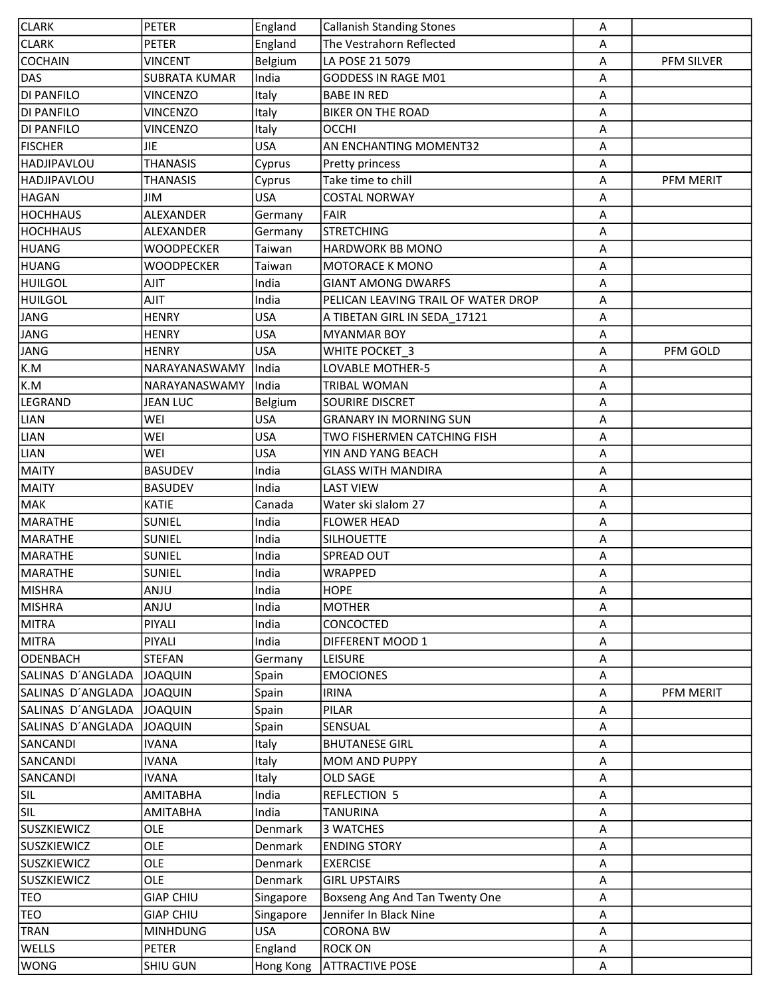| <b>CLARK</b>       | <b>PETER</b>         | England    | <b>Callanish Standing Stones</b>    | Α |            |
|--------------------|----------------------|------------|-------------------------------------|---|------------|
| <b>CLARK</b>       | PETER                | England    | The Vestrahorn Reflected            | Α |            |
| <b>COCHAIN</b>     | <b>VINCENT</b>       | Belgium    | LA POSE 21 5079                     | Α | PFM SILVER |
| DAS                | <b>SUBRATA KUMAR</b> | India      | GODDESS IN RAGE M01                 | Α |            |
| <b>DI PANFILO</b>  | <b>VINCENZO</b>      | Italy      | <b>BABE IN RED</b>                  | A |            |
| <b>DI PANFILO</b>  | <b>VINCENZO</b>      | Italy      | <b>BIKER ON THE ROAD</b>            | A |            |
| <b>DI PANFILO</b>  | <b>VINCENZO</b>      | Italy      | <b>OCCHI</b>                        | Α |            |
| <b>FISCHER</b>     | <b>JIE</b>           | <b>USA</b> | AN ENCHANTING MOMENT32              | A |            |
| HADJIPAVLOU        | <b>THANASIS</b>      | Cyprus     | Pretty princess                     | Α |            |
| HADJIPAVLOU        | <b>THANASIS</b>      | Cyprus     | Take time to chill                  | Α | PFM MERIT  |
| <b>HAGAN</b>       | JIM                  | <b>USA</b> | <b>COSTAL NORWAY</b>                | Α |            |
| <b>HOCHHAUS</b>    | ALEXANDER            | Germany    | <b>FAIR</b>                         | Α |            |
| <b>HOCHHAUS</b>    | ALEXANDER            | Germany    | <b>STRETCHING</b>                   | Α |            |
| HUANG              | <b>WOODPECKER</b>    | Taiwan     | <b>HARDWORK BB MONO</b>             | Α |            |
| HUANG              | WOODPECKER           | Taiwan     | MOTORACE K MONO                     | Α |            |
| <b>HUILGOL</b>     | AJIT                 | India      | <b>GIANT AMONG DWARFS</b>           | А |            |
| <b>HUILGOL</b>     | <b>AJIT</b>          | India      | PELICAN LEAVING TRAIL OF WATER DROP | Α |            |
| JANG               | <b>HENRY</b>         | <b>USA</b> | A TIBETAN GIRL IN SEDA 17121        | Α |            |
| JANG               | <b>HENRY</b>         | <b>USA</b> | <b>MYANMAR BOY</b>                  | Α |            |
| <b>JANG</b>        | <b>HENRY</b>         | <b>USA</b> | WHITE POCKET 3                      | A | PFM GOLD   |
| K.M                | NARAYANASWAMY        | India      | LOVABLE MOTHER-5                    | Α |            |
| K.M                | NARAYANASWAMY        | India      | TRIBAL WOMAN                        | Α |            |
| LEGRAND            | <b>JEAN LUC</b>      | Belgium    | SOURIRE DISCRET                     | Α |            |
| <b>LIAN</b>        | WEI                  | <b>USA</b> | <b>GRANARY IN MORNING SUN</b>       | Α |            |
| <b>LIAN</b>        | WEI                  | <b>USA</b> | TWO FISHERMEN CATCHING FISH         | Α |            |
| <b>LIAN</b>        | WEI                  | <b>USA</b> | YIN AND YANG BEACH                  | Α |            |
| <b>MAITY</b>       | <b>BASUDEV</b>       | India      | <b>GLASS WITH MANDIRA</b>           | Α |            |
| <b>MAITY</b>       | <b>BASUDEV</b>       | India      | <b>LAST VIEW</b>                    | A |            |
| MAK                | <b>KATIE</b>         | Canada     | Water ski slalom 27                 | A |            |
| MARATHE            | <b>SUNIEL</b>        | India      | <b>FLOWER HEAD</b>                  | Α |            |
| <b>MARATHE</b>     | SUNIEL               | India      | <b>SILHOUETTE</b>                   | A |            |
| MARATHE            | <b>SUNIEL</b>        | India      | SPREAD OUT                          | Α |            |
| MARATHE            | <b>SUNIEL</b>        | India      | <b>WRAPPED</b>                      | A |            |
| <b>MISHRA</b>      | ANJU                 | India      | <b>HOPE</b>                         | Α |            |
| <b>MISHRA</b>      | <b>ANJU</b>          | India      | <b>MOTHER</b>                       | Α |            |
| <b>MITRA</b>       | PIYALI               | India      | CONCOCTED                           | Α |            |
| <b>MITRA</b>       | PIYALI               | India      | DIFFERENT MOOD 1                    | Α |            |
| <b>ODENBACH</b>    | <b>STEFAN</b>        | Germany    | <b>LEISURE</b>                      | Α |            |
| SALINAS D'ANGLADA  | <b>JOAQUIN</b>       | Spain      | <b>EMOCIONES</b>                    | Α |            |
| SALINAS D'ANGLADA  | <b>JOAQUIN</b>       | Spain      | <b>IRINA</b>                        | Α | PFM MERIT  |
| SALINAS D'ANGLADA  | <b>JOAQUIN</b>       | Spain      | PILAR                               | Α |            |
| SALINAS D'ANGLADA  | <b>JOAQUIN</b>       | Spain      | SENSUAL                             | Α |            |
| SANCANDI           | <b>IVANA</b>         | Italy      | <b>BHUTANESE GIRL</b>               | Α |            |
| SANCANDI           | <b>IVANA</b>         | Italy      | MOM AND PUPPY                       | Α |            |
| SANCANDI           | <b>IVANA</b>         | Italy      | OLD SAGE                            | Α |            |
| <b>SIL</b>         | <b>AMITABHA</b>      | India      | <b>REFLECTION 5</b>                 | A |            |
| <b>SIL</b>         | AMITABHA             | India      | TANURINA                            | A |            |
| <b>SUSZKIEWICZ</b> | OLE                  | Denmark    | 3 WATCHES                           | Α |            |
| <b>SUSZKIEWICZ</b> | OLE                  | Denmark    | <b>ENDING STORY</b>                 | Α |            |
| <b>SUSZKIEWICZ</b> | OLE                  | Denmark    | <b>EXERCISE</b>                     | Α |            |
| <b>SUSZKIEWICZ</b> | <b>OLE</b>           | Denmark    | <b>GIRL UPSTAIRS</b>                | Α |            |
| <b>TEO</b>         | <b>GIAP CHIU</b>     | Singapore  | Boxseng Ang And Tan Twenty One      | Α |            |
| TEO                | <b>GIAP CHIU</b>     | Singapore  | Jennifer In Black Nine              | Α |            |
| TRAN               | <b>MINHDUNG</b>      | <b>USA</b> | <b>CORONA BW</b>                    | A |            |
| <b>WELLS</b>       | <b>PETER</b>         | England    | <b>ROCK ON</b>                      | Α |            |
| <b>WONG</b>        | SHIU GUN             | Hong Kong  | <b>ATTRACTIVE POSE</b>              | A |            |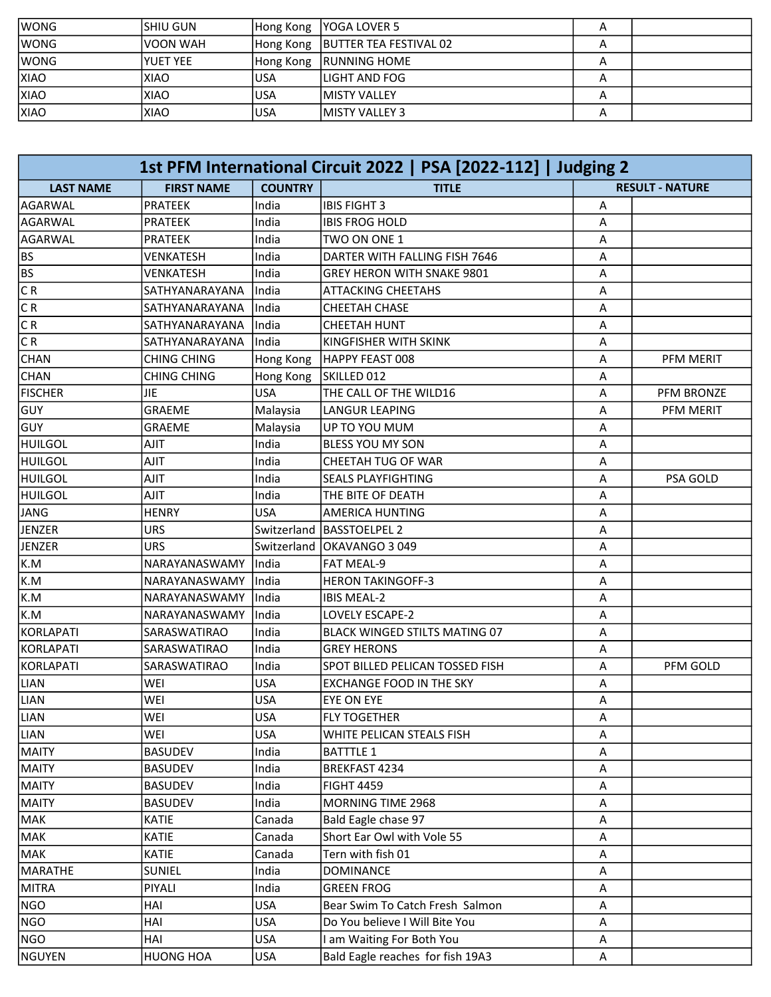| <b>IWONG</b> | ISHIU GUN   |            | Hong Kong   YOGA LOVER 5           | A |  |
|--------------|-------------|------------|------------------------------------|---|--|
| <b>WONG</b>  | IVOON WAH   |            | Hong Kong   BUTTER TEA FESTIVAL 02 | A |  |
| <b>WONG</b>  | lyuet yee   | Hong Kong  | <b>RUNNING HOME</b>                | А |  |
| <b>XIAO</b>  | <b>XIAO</b> | <b>USA</b> | lLIGHT AND FOG                     |   |  |
| <b>XIAO</b>  | <b>XIAO</b> | <b>USA</b> | <b>IMISTY VALLEY</b>               | A |  |
| <b>XIAO</b>  | <b>XIAO</b> | <b>USA</b> | <b>IMISTY VALLEY 3</b>             | А |  |

| 1st PFM International Circuit 2022   PSA [2022-112]   Judging 2 |                    |                |                                      |                        |            |
|-----------------------------------------------------------------|--------------------|----------------|--------------------------------------|------------------------|------------|
| <b>LAST NAME</b>                                                | <b>FIRST NAME</b>  | <b>COUNTRY</b> | <b>TITLE</b>                         | <b>RESULT - NATURE</b> |            |
| AGARWAL                                                         | <b>PRATEEK</b>     | India          | <b>IBIS FIGHT 3</b>                  | Α                      |            |
| <b>AGARWAL</b>                                                  | <b>PRATEEK</b>     | India          | <b>IBIS FROG HOLD</b>                | Α                      |            |
| AGARWAL                                                         | <b>PRATEEK</b>     | India          | TWO ON ONE 1                         | Α                      |            |
| <b>BS</b>                                                       | VENKATESH          | India          | DARTER WITH FALLING FISH 7646        | A                      |            |
| <b>BS</b>                                                       | <b>VENKATESH</b>   | India          | GREY HERON WITH SNAKE 9801           | Α                      |            |
| CR                                                              | SATHYANARAYANA     | India          | <b>ATTACKING CHEETAHS</b>            | А                      |            |
| CR                                                              | SATHYANARAYANA     | India          | <b>CHEETAH CHASE</b>                 | Α                      |            |
| C R                                                             | SATHYANARAYANA     | India          | <b>CHEETAH HUNT</b>                  | Α                      |            |
| C R                                                             | SATHYANARAYANA     | India          | KINGFISHER WITH SKINK                | Α                      |            |
| <b>CHAN</b>                                                     | <b>CHING CHING</b> | Hong Kong      | HAPPY FEAST 008                      | А                      | PFM MERIT  |
| <b>CHAN</b>                                                     | <b>CHING CHING</b> | Hong Kong      | SKILLED 012                          | Α                      |            |
| <b>FISCHER</b>                                                  | <b>JIE</b>         | <b>USA</b>     | THE CALL OF THE WILD16               | Α                      | PFM BRONZE |
| GUY                                                             | GRAEME             | Malaysia       | <b>LANGUR LEAPING</b>                | A                      | PFM MERIT  |
| GUY                                                             | GRAEME             | Malaysia       | UP TO YOU MUM                        | Α                      |            |
| <b>HUILGOL</b>                                                  | <b>TILA</b>        | India          | BLESS YOU MY SON                     | A                      |            |
| <b>HUILGOL</b>                                                  | AJIT               | India          | CHEETAH TUG OF WAR                   | Α                      |            |
| <b>HUILGOL</b>                                                  | AJIT               | India          | <b>SEALS PLAYFIGHTING</b>            | Α                      | PSA GOLD   |
| HUILGOL                                                         | <b>AJIT</b>        | India          | THE BITE OF DEATH                    | Α                      |            |
| JANG                                                            | <b>HENRY</b>       | <b>USA</b>     | <b>AMERICA HUNTING</b>               | Α                      |            |
| JENZER                                                          | <b>URS</b>         | Switzerland    | <b>BASSTOELPEL 2</b>                 | A                      |            |
| JENZER                                                          | URS                | Switzerland    | <b>OKAVANGO 3049</b>                 | Α                      |            |
| K.M                                                             | NARAYANASWAMY      | India          | <b>FAT MEAL-9</b>                    | Α                      |            |
| K.M                                                             | NARAYANASWAMY      | India          | <b>HERON TAKINGOFF-3</b>             | Α                      |            |
| K.M                                                             | NARAYANASWAMY      | India          | <b>IBIS MEAL-2</b>                   | Α                      |            |
| K.M                                                             | NARAYANASWAMY      | India          | LOVELY ESCAPE-2                      | Α                      |            |
| KORLAPATI                                                       | SARASWATIRAO       | India          | <b>BLACK WINGED STILTS MATING 07</b> | Α                      |            |
| KORLAPATI                                                       | SARASWATIRAO       | India          | <b>GREY HERONS</b>                   | A                      |            |
| KORLAPATI                                                       | SARASWATIRAO       | India          | SPOT BILLED PELICAN TOSSED FISH      | Α                      | PFM GOLD   |
| <b>LIAN</b>                                                     | WEI                | <b>USA</b>     | <b>EXCHANGE FOOD IN THE SKY</b>      | А                      |            |
| <b>LIAN</b>                                                     | WEI                | <b>USA</b>     | EYE ON EYE                           | Α                      |            |
| LIAN                                                            | WEI                | <b>USA</b>     | FLY TOGETHER                         | $\overline{A}$         |            |
| <b>LIAN</b>                                                     | WEI                | <b>USA</b>     | WHITE PELICAN STEALS FISH            | Α                      |            |
| MAITY                                                           | <b>BASUDEV</b>     | India          | <b>BATTTLE 1</b>                     | Α                      |            |
| <b>MAITY</b>                                                    | <b>BASUDEV</b>     | India          | BREKFAST 4234                        | Α                      |            |
| <b>MAITY</b>                                                    | <b>BASUDEV</b>     | India          | <b>FIGHT 4459</b>                    | Α                      |            |
| MAITY                                                           | <b>BASUDEV</b>     | India          | MORNING TIME 2968                    | Α                      |            |
| MAK                                                             | KATIE              | Canada         | Bald Eagle chase 97                  | A                      |            |
| MAK                                                             | <b>KATIE</b>       | Canada         | Short Ear Owl with Vole 55           | A                      |            |
| MAK                                                             | <b>KATIE</b>       | Canada         | Tern with fish 01                    | Α                      |            |
| MARATHE                                                         | <b>SUNIEL</b>      | India          | <b>DOMINANCE</b>                     | Α                      |            |
| <b>MITRA</b>                                                    | PIYALI             | India          | <b>GREEN FROG</b>                    | Α                      |            |
| NGO                                                             | HAI                | <b>USA</b>     | Bear Swim To Catch Fresh Salmon      | A                      |            |
| NGO                                                             | HAI                | <b>USA</b>     | Do You believe I Will Bite You       | Α                      |            |
| NGO                                                             | HAI                | <b>USA</b>     | I am Waiting For Both You            | Α                      |            |
| NGUYEN                                                          | <b>HUONG HOA</b>   | <b>USA</b>     | Bald Eagle reaches for fish 19A3     | Α                      |            |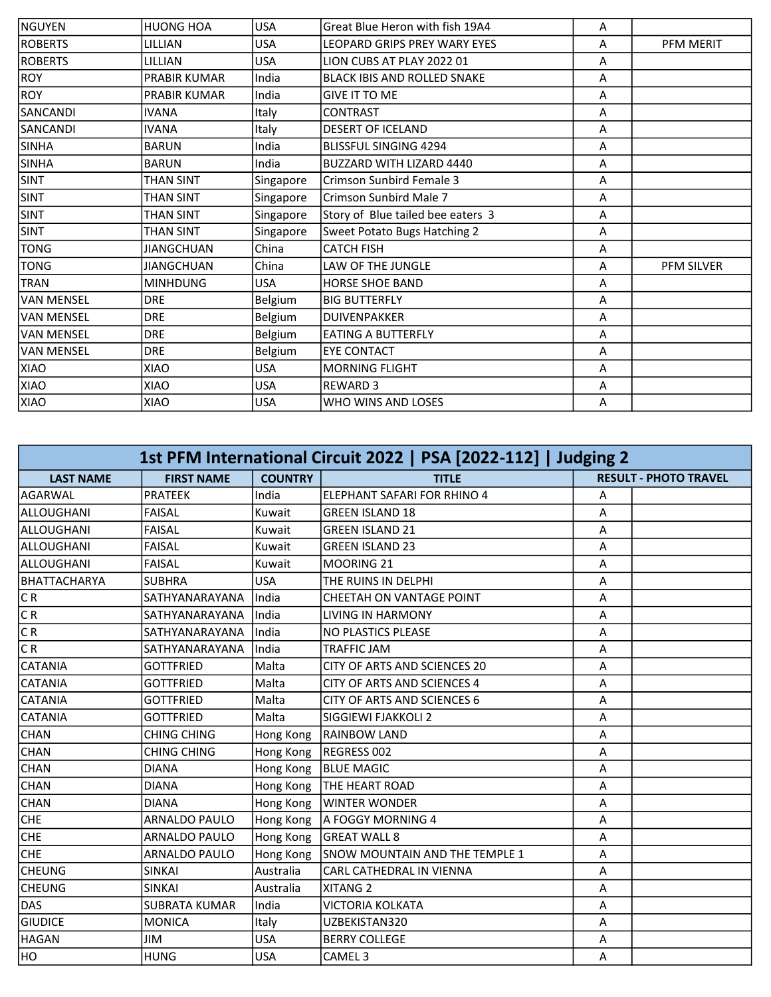| NGUYEN            | <b>HUONG HOA</b>    | <b>USA</b> | Great Blue Heron with fish 19A4   | A |                  |
|-------------------|---------------------|------------|-----------------------------------|---|------------------|
| <b>ROBERTS</b>    | LILLIAN             | <b>USA</b> | LEOPARD GRIPS PREY WARY EYES      | A | <b>PFM MERIT</b> |
| <b>ROBERTS</b>    | LILLIAN             | <b>USA</b> | LION CUBS AT PLAY 2022 01         | A |                  |
| <b>ROY</b>        | PRABIR KUMAR        | India      | BLACK IBIS AND ROLLED SNAKE       | A |                  |
| <b>ROY</b>        | <b>PRABIR KUMAR</b> | India      | <b>GIVE IT TO ME</b>              | A |                  |
| SANCANDI          | <b>IVANA</b>        | Italy      | <b>CONTRAST</b>                   | A |                  |
| SANCANDI          | <b>IVANA</b>        | Italy      | <b>DESERT OF ICELAND</b>          | A |                  |
| <b>SINHA</b>      | <b>BARUN</b>        | India      | <b>BLISSFUL SINGING 4294</b>      | A |                  |
| <b>SINHA</b>      | <b>BARUN</b>        | India      | BUZZARD WITH LIZARD 4440          | A |                  |
| <b>SINT</b>       | THAN SINT           | Singapore  | Crimson Sunbird Female 3          | A |                  |
| <b>SINT</b>       | <b>THAN SINT</b>    | Singapore  | Crimson Sunbird Male 7            | A |                  |
| <b>SINT</b>       | THAN SINT           | Singapore  | Story of Blue tailed bee eaters 3 | A |                  |
| <b>SINT</b>       | <b>THAN SINT</b>    | Singapore  | Sweet Potato Bugs Hatching 2      | A |                  |
| <b>TONG</b>       | JIANGCHUAN          | China      | <b>CATCH FISH</b>                 | A |                  |
| <b>TONG</b>       | <b>JIANGCHUAN</b>   | China      | LAW OF THE JUNGLE                 | A | PFM SILVER       |
| <b>TRAN</b>       | <b>MINHDUNG</b>     | <b>USA</b> | <b>HORSE SHOE BAND</b>            | A |                  |
| <b>VAN MENSEL</b> | <b>DRE</b>          | Belgium    | <b>BIG BUTTERFLY</b>              | A |                  |
| lvan mensel       | <b>DRE</b>          | Belgium    | <b>DUIVENPAKKER</b>               | A |                  |
| IVAN MENSEL       | <b>DRE</b>          | Belgium    | <b>EATING A BUTTERFLY</b>         | A |                  |
| VAN MENSEL        | <b>DRE</b>          | Belgium    | <b>EYE CONTACT</b>                | A |                  |
| XIAO              | <b>OAIX</b>         | <b>USA</b> | <b>MORNING FLIGHT</b>             | A |                  |
| XIAO              | XIAO                | <b>USA</b> | <b>REWARD 3</b>                   | A |                  |
| XIAO              | <b>XIAO</b>         | <b>USA</b> | WHO WINS AND LOSES                | A |                  |

| 1st PFM International Circuit 2022   PSA [2022-112]   Judging 2 |                      |                |                                |   |                              |  |
|-----------------------------------------------------------------|----------------------|----------------|--------------------------------|---|------------------------------|--|
| <b>LAST NAME</b>                                                | <b>FIRST NAME</b>    | <b>COUNTRY</b> | <b>TITLE</b>                   |   | <b>RESULT - PHOTO TRAVEL</b> |  |
| AGARWAL                                                         | <b>PRATEEK</b>       | India          | ELEPHANT SAFARI FOR RHINO 4    | A |                              |  |
| lalloughani                                                     | FAISAL               | Kuwait         | <b>GREEN ISLAND 18</b>         | A |                              |  |
| ALLOUGHANI                                                      | <b>FAISAL</b>        | Kuwait         | <b>GREEN ISLAND 21</b>         | А |                              |  |
| ALLOUGHANI                                                      | <b>FAISAL</b>        | Kuwait         | <b>GREEN ISLAND 23</b>         | A |                              |  |
| ALLOUGHANI                                                      | <b>FAISAL</b>        | Kuwait         | MOORING 21                     | Α |                              |  |
| BHATTACHARYA                                                    | <b>SUBHRA</b>        | <b>USA</b>     | THE RUINS IN DELPHI            | A |                              |  |
| CR                                                              | SATHYANARAYANA       | India          | CHEETAH ON VANTAGE POINT       | А |                              |  |
| CR                                                              | SATHYANARAYANA       | India          | <b>LIVING IN HARMONY</b>       | А |                              |  |
| C R                                                             | SATHYANARAYANA       | India          | <b>NO PLASTICS PLEASE</b>      | Α |                              |  |
| CR                                                              | SATHYANARAYANA       | India          | <b>TRAFFIC JAM</b>             | A |                              |  |
| <b>CATANIA</b>                                                  | <b>GOTTFRIED</b>     | Malta          | CITY OF ARTS AND SCIENCES 20   | А |                              |  |
| <b>CATANIA</b>                                                  | <b>GOTTFRIED</b>     | Malta          | CITY OF ARTS AND SCIENCES 4    | А |                              |  |
| <b>CATANIA</b>                                                  | <b>GOTTFRIED</b>     | Malta          | CITY OF ARTS AND SCIENCES 6    | A |                              |  |
| <b>CATANIA</b>                                                  | <b>GOTTFRIED</b>     | Malta          | SIGGIEWI FJAKKOLI 2            | Α |                              |  |
| <b>CHAN</b>                                                     | <b>CHING CHING</b>   | Hong Kong      | <b>RAINBOW LAND</b>            | A |                              |  |
| <b>CHAN</b>                                                     | <b>CHING CHING</b>   | Hong Kong      | REGRESS 002                    | А |                              |  |
| <b>CHAN</b>                                                     | <b>DIANA</b>         | Hong Kong      | <b>BLUE MAGIC</b>              | А |                              |  |
| <b>CHAN</b>                                                     | <b>DIANA</b>         | Hong Kong      | <b>THE HEART ROAD</b>          | Α |                              |  |
| <b>CHAN</b>                                                     | <b>DIANA</b>         | Hong Kong      | <b>WINTER WONDER</b>           | A |                              |  |
| <b>CHE</b>                                                      | <b>ARNALDO PAULO</b> | Hong Kong      | A FOGGY MORNING 4              | Α |                              |  |
| CHE                                                             | ARNALDO PAULO        | Hong Kong      | <b>GREAT WALL 8</b>            | Α |                              |  |
| <b>CHE</b>                                                      | <b>ARNALDO PAULO</b> | Hong Kong      | SNOW MOUNTAIN AND THE TEMPLE 1 | A |                              |  |
| <b>CHEUNG</b>                                                   | <b>SINKAI</b>        | Australia      | CARL CATHEDRAL IN VIENNA       | A |                              |  |
| <b>CHEUNG</b>                                                   | <b>SINKAI</b>        | Australia      | <b>XITANG 2</b>                | A |                              |  |
| DAS                                                             | <b>SUBRATA KUMAR</b> | India          | <b>VICTORIA KOLKATA</b>        | А |                              |  |
| <b>GIUDICE</b>                                                  | <b>MONICA</b>        | Italy          | UZBEKISTAN320                  | A |                              |  |
| HAGAN                                                           | JIM                  | <b>USA</b>     | <b>BERRY COLLEGE</b>           | А |                              |  |
| HO                                                              | <b>HUNG</b>          | <b>USA</b>     | CAMEL <sub>3</sub>             | A |                              |  |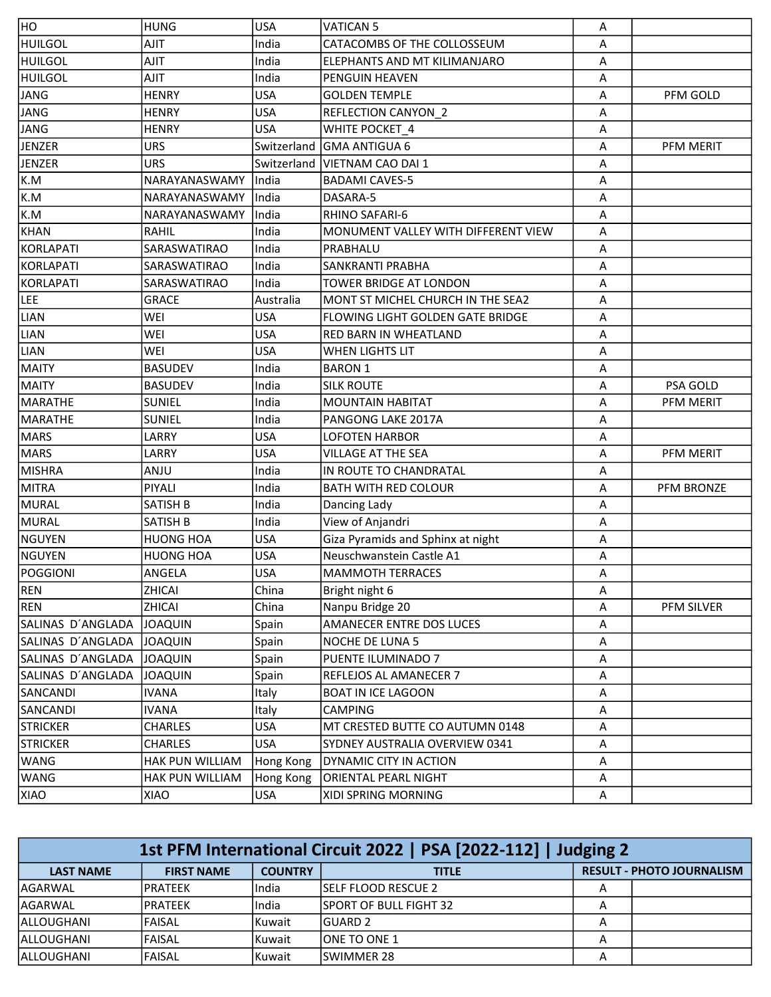| HO                | <b>HUNG</b>      | <b>USA</b>  | <b>VATICAN 5</b>                    | A |                   |
|-------------------|------------------|-------------|-------------------------------------|---|-------------------|
| <b>HUILGOL</b>    | <b>TILA</b>      | India       | CATACOMBS OF THE COLLOSSEUM         | Α |                   |
| <b>HUILGOL</b>    | AJIT             | India       | ELEPHANTS AND MT KILIMANJARO        | Α |                   |
| <b>HUILGOL</b>    | AJIT             | India       | <b>PENGUIN HEAVEN</b>               | Α |                   |
| JANG              | <b>HENRY</b>     | <b>USA</b>  | <b>GOLDEN TEMPLE</b>                | Α | PFM GOLD          |
| JANG              | <b>HENRY</b>     | <b>USA</b>  | <b>REFLECTION CANYON 2</b>          | Α |                   |
| JANG              | <b>HENRY</b>     | <b>USA</b>  | WHITE POCKET_4                      | A |                   |
| <b>JENZER</b>     | <b>URS</b>       | Switzerland | <b>GMA ANTIGUA 6</b>                | Α | PFM MERIT         |
| JENZER            | URS              | Switzerland | <b>VIETNAM CAO DAI 1</b>            | Α |                   |
| K.M               | NARAYANASWAMY    | India       | <b>BADAMI CAVES-5</b>               | Α |                   |
| K.M               | NARAYANASWAMY    | India       | DASARA-5                            | Α |                   |
| K.M               | NARAYANASWAMY    | India       | RHINO SAFARI-6                      | Α |                   |
| KHAN              | RAHIL            | India       | MONUMENT VALLEY WITH DIFFERENT VIEW | Α |                   |
| KORLAPATI         | SARASWATIRAO     | India       | PRABHALU                            | Α |                   |
| KORLAPATI         | SARASWATIRAO     | India       | SANKRANTI PRABHA                    | Α |                   |
| KORLAPATI         | SARASWATIRAO     | India       | TOWER BRIDGE AT LONDON              | А |                   |
| LEE               | <b>GRACE</b>     | Australia   | MONT ST MICHEL CHURCH IN THE SEA2   | Α |                   |
| <b>LIAN</b>       | WEI              | <b>USA</b>  | FLOWING LIGHT GOLDEN GATE BRIDGE    | Α |                   |
| <b>LIAN</b>       | WEI              | <b>USA</b>  | RED BARN IN WHEATLAND               | Α |                   |
| <b>LIAN</b>       | WEI              | <b>USA</b>  | WHEN LIGHTS LIT                     | A |                   |
| <b>MAITY</b>      | <b>BASUDEV</b>   | India       | <b>BARON 1</b>                      | Α |                   |
| MAITY             | <b>BASUDEV</b>   | India       | <b>SILK ROUTE</b>                   | Α | PSA GOLD          |
| MARATHE           | <b>SUNIEL</b>    | India       | <b>MOUNTAIN HABITAT</b>             | A | PFM MERIT         |
| MARATHE           | SUNIEL           | India       | PANGONG LAKE 2017A                  | A |                   |
| <b>MARS</b>       | LARRY            | <b>USA</b>  | <b>LOFOTEN HARBOR</b>               | A |                   |
| <b>MARS</b>       | LARRY            | <b>USA</b>  | <b>VILLAGE AT THE SEA</b>           | Α | PFM MERIT         |
| MISHRA            | ANJU             | India       | IN ROUTE TO CHANDRATAL              | Α |                   |
| MITRA             | <b>PIYALI</b>    | India       | <b>BATH WITH RED COLOUR</b>         | А | <b>PFM BRONZE</b> |
| MURAL             | SATISH B         | India       | Dancing Lady                        | A |                   |
| MURAL             | SATISH B         | India       | View of Anjandri                    | Α |                   |
| NGUYEN            | <b>HUONG HOA</b> | <b>USA</b>  | Giza Pyramids and Sphinx at night   | Α |                   |
| NGUYEN            | <b>HUONG HOA</b> | <b>USA</b>  | Neuschwanstein Castle A1            | Α |                   |
| <b>POGGIONI</b>   | ANGELA           | <b>USA</b>  | <b>MAMMOTH TERRACES</b>             | A |                   |
| REN               | ZHICAI           | China       | Bright night 6                      | Α |                   |
| <b>REN</b>        | ZHICAI           | China       | Nanpu Bridge 20                     | Α | PFM SILVER        |
| SALINAS D'ANGLADA | <b>JOAQUIN</b>   | Spain       | AMANECER ENTRE DOS LUCES            | Α |                   |
| SALINAS D'ANGLADA | <b>JOAQUIN</b>   | Spain       | NOCHE DE LUNA 5                     | Α |                   |
| SALINAS D'ANGLADA | <b>JOAQUIN</b>   | Spain       | PUENTE ILUMINADO 7                  | Α |                   |
| SALINAS D'ANGLADA | <b>JOAQUIN</b>   | Spain       | REFLEJOS AL AMANECER 7              | Α |                   |
| SANCANDI          | <b>IVANA</b>     | Italy       | <b>BOAT IN ICE LAGOON</b>           | Α |                   |
| SANCANDI          | <b>IVANA</b>     | Italy       | <b>CAMPING</b>                      | Α |                   |
| <b>STRICKER</b>   | <b>CHARLES</b>   | <b>USA</b>  | MT CRESTED BUTTE CO AUTUMN 0148     | Α |                   |
| <b>STRICKER</b>   | <b>CHARLES</b>   | <b>USA</b>  | SYDNEY AUSTRALIA OVERVIEW 0341      | Α |                   |
| <b>WANG</b>       | HAK PUN WILLIAM  | Hong Kong   | <b>DYNAMIC CITY IN ACTION</b>       | Α |                   |
| WANG              | HAK PUN WILLIAM  | Hong Kong   | <b>ORIENTAL PEARL NIGHT</b>         | Α |                   |
| XIAO              | XIAO             | <b>USA</b>  | XIDI SPRING MORNING                 | Α |                   |

| 1st PFM International Circuit 2022   PSA [2022-112]   Judging 2 |                   |                |                                                  |   |  |  |
|-----------------------------------------------------------------|-------------------|----------------|--------------------------------------------------|---|--|--|
| <b>LAST NAME</b>                                                | <b>FIRST NAME</b> | <b>COUNTRY</b> | <b>RESULT - PHOTO JOURNALISM</b><br><b>TITLE</b> |   |  |  |
| lAGARWAL                                                        | IPRATEEK          | India          | <b>ISELF FLOOD RESCUE 2</b>                      | А |  |  |
| lAGARWAL                                                        | IPRATEEK          | India          | <b>ISPORT OF BULL FIGHT 32</b>                   |   |  |  |
| IALLOUGHANI                                                     | lFAISAL           | l Kuwait       | IGUARD 2                                         | A |  |  |
| IALLOUGHANI                                                     | lFAISAL           | l Kuwait       | <b>IONE TO ONE 1</b>                             | A |  |  |
| IALLOUGHANI                                                     | <b>FAISAL</b>     | Kuwait         | <b>ISWIMMER 28</b>                               | А |  |  |